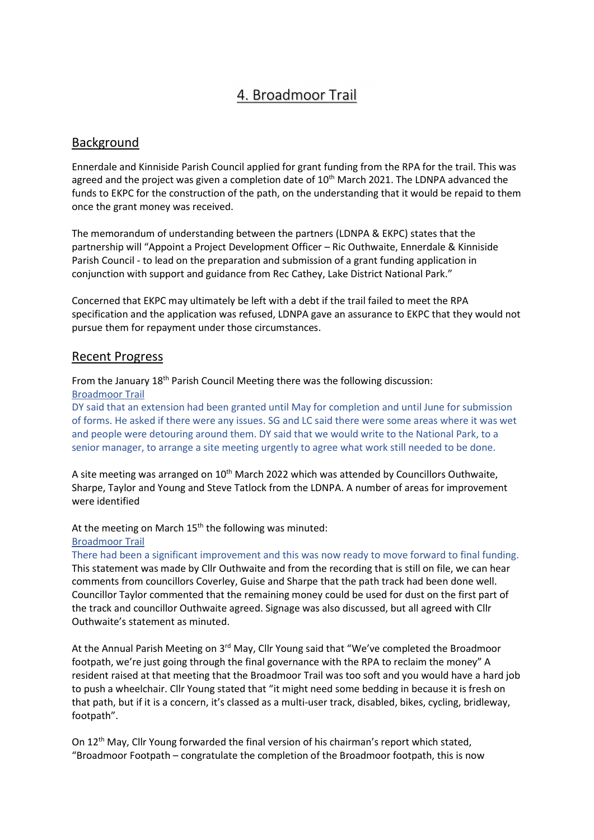# 4. Broadmoor Trail

## Background

Ennerdale and Kinniside Parish Council applied for grant funding from the RPA for the trail. This was agreed and the project was given a completion date of  $10<sup>th</sup>$  March 2021. The LDNPA advanced the funds to EKPC for the construction of the path, on the understanding that it would be repaid to them once the grant money was received.

The memorandum of understanding between the partners (LDNPA & EKPC) states that the partnership will "Appoint a Project Development Officer – Ric Outhwaite, Ennerdale & Kinniside Parish Council - to lead on the preparation and submission of a grant funding application in conjunction with support and guidance from Rec Cathey, Lake District National Park."

Concerned that EKPC may ultimately be left with a debt if the trail failed to meet the RPA specification and the application was refused, LDNPA gave an assurance to EKPC that they would not pursue them for repayment under those circumstances.

### Recent Progress

From the January 18<sup>th</sup> Parish Council Meeting there was the following discussion: Broadmoor Trail

DY said that an extension had been granted until May for completion and until June for submission of forms. He asked if there were any issues. SG and LC said there were some areas where it was wet and people were detouring around them. DY said that we would write to the National Park, to a senior manager, to arrange a site meeting urgently to agree what work still needed to be done.

A site meeting was arranged on  $10<sup>th</sup>$  March 2022 which was attended by Councillors Outhwaite, Sharpe, Taylor and Young and Steve Tatlock from the LDNPA. A number of areas for improvement were identified

At the meeting on March 15<sup>th</sup> the following was minuted:

#### Broadmoor Trail

There had been a significant improvement and this was now ready to move forward to final funding. This statement was made by Cllr Outhwaite and from the recording that is still on file, we can hear comments from councillors Coverley, Guise and Sharpe that the path track had been done well. Councillor Taylor commented that the remaining money could be used for dust on the first part of the track and councillor Outhwaite agreed. Signage was also discussed, but all agreed with Cllr Outhwaite's statement as minuted.

At the Annual Parish Meeting on 3<sup>rd</sup> May, Cllr Young said that "We've completed the Broadmoor footpath, we're just going through the final governance with the RPA to reclaim the money" A resident raised at that meeting that the Broadmoor Trail was too soft and you would have a hard job to push a wheelchair. Cllr Young stated that "it might need some bedding in because it is fresh on that path, but if it is a concern, it's classed as a multi-user track, disabled, bikes, cycling, bridleway, footpath".

On 12th May, Cllr Young forwarded the final version of his chairman's report which stated, "Broadmoor Footpath – congratulate the completion of the Broadmoor footpath, this is now